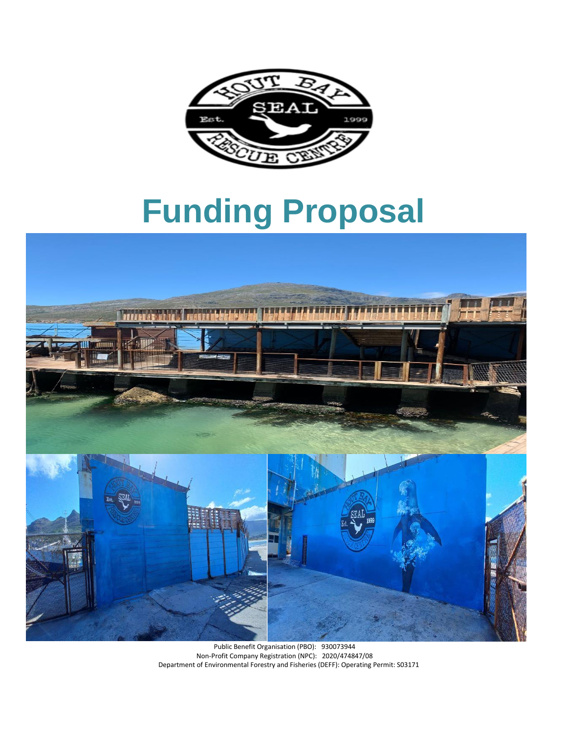

# **Funding Proposal**

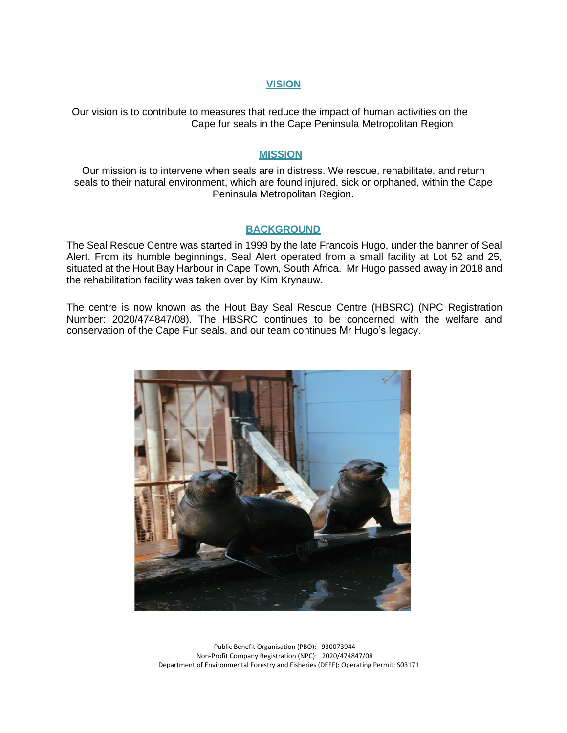### **VISION**

Our vision is to contribute to measures that reduce the impact of human activities on the Cape fur seals in the Cape Peninsula Metropolitan Region

### **MISSION**

Our mission is to intervene when seals are in distress. We rescue, rehabilitate, and return seals to their natural environment, which are found injured, sick or orphaned, within the Cape Peninsula Metropolitan Region.

## **BACKGROUND**

The Seal Rescue Centre was started in 1999 by the late Francois Hugo, under the banner of Seal Alert. From its humble beginnings, Seal Alert operated from a small facility at Lot 52 and 25, situated at the Hout Bay Harbour in Cape Town, South Africa. Mr Hugo passed away in 2018 and the rehabilitation facility was taken over by Kim Krynauw.

The centre is now known as the Hout Bay Seal Rescue Centre (HBSRC) (NPC Registration Number: 2020/474847/08). The HBSRC continues to be concerned with the welfare and conservation of the Cape Fur seals, and our team continues Mr Hugo's legacy.

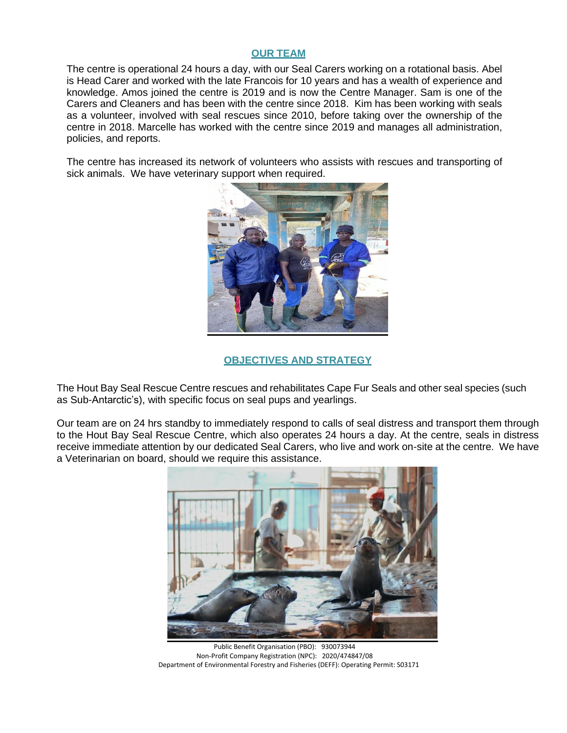## **OUR TEAM**

The centre is operational 24 hours a day, with our Seal Carers working on a rotational basis. Abel is Head Carer and worked with the late Francois for 10 years and has a wealth of experience and knowledge. Amos joined the centre is 2019 and is now the Centre Manager. Sam is one of the Carers and Cleaners and has been with the centre since 2018. Kim has been working with seals as a volunteer, involved with seal rescues since 2010, before taking over the ownership of the centre in 2018. Marcelle has worked with the centre since 2019 and manages all administration, policies, and reports.

The centre has increased its network of volunteers who assists with rescues and transporting of sick animals. We have veterinary support when required.



## **OBJECTIVES AND STRATEGY**

The Hout Bay Seal Rescue Centre rescues and rehabilitates Cape Fur Seals and other seal species (such as Sub-Antarctic's), with specific focus on seal pups and yearlings.

Our team are on 24 hrs standby to immediately respond to calls of seal distress and transport them through to the Hout Bay Seal Rescue Centre, which also operates 24 hours a day. At the centre, seals in distress receive immediate attention by our dedicated Seal Carers, who live and work on-site at the centre. We have a Veterinarian on board, should we require this assistance.



Public Benefit Organisation (PBO): 930073944 Non-Profit Company Registration (NPC): 2020/474847/08 Department of Environmental Forestry and Fisheries (DEFF): Operating Permit: S03171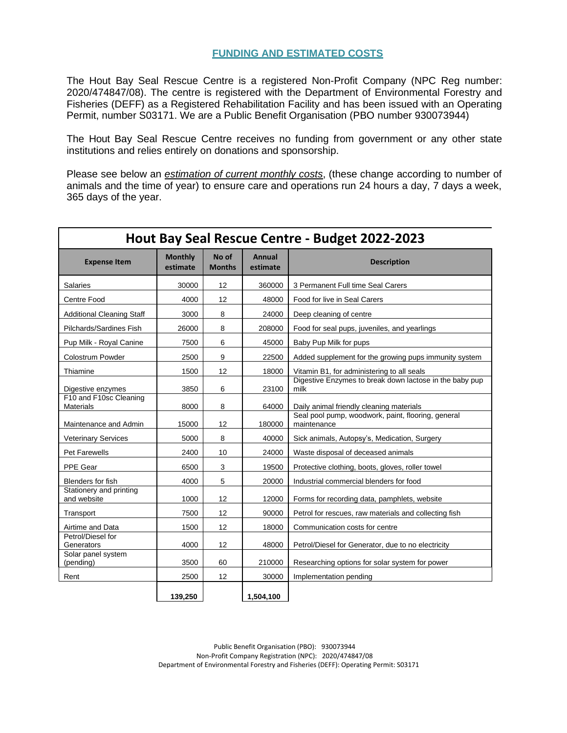## **FUNDING AND ESTIMATED COSTS**

The Hout Bay Seal Rescue Centre is a registered Non-Profit Company (NPC Reg number: 2020/474847/08). The centre is registered with the Department of Environmental Forestry and Fisheries (DEFF) as a Registered Rehabilitation Facility and has been issued with an Operating Permit, number S03171. We are a Public Benefit Organisation (PBO number 930073944)

The Hout Bay Seal Rescue Centre receives no funding from government or any other state institutions and relies entirely on donations and sponsorship.

Please see below an *estimation of current monthly costs*, (these change according to number of animals and the time of year) to ensure care and operations run 24 hours a day, 7 days a week, 365 days of the year.

| Hout Bay Seal Rescue Centre - Budget 2022-2023 |                            |                        |                    |                                                                   |
|------------------------------------------------|----------------------------|------------------------|--------------------|-------------------------------------------------------------------|
| <b>Expense Item</b>                            | <b>Monthly</b><br>estimate | No of<br><b>Months</b> | Annual<br>estimate | <b>Description</b>                                                |
| Salaries                                       | 30000                      | 12                     | 360000             | 3 Permanent Full time Seal Carers                                 |
| Centre Food                                    | 4000                       | 12                     | 48000              | Food for live in Seal Carers                                      |
| <b>Additional Cleaning Staff</b>               | 3000                       | 8                      | 24000              | Deep cleaning of centre                                           |
| Pilchards/Sardines Fish                        | 26000                      | 8                      | 208000             | Food for seal pups, juveniles, and yearlings                      |
| Pup Milk - Royal Canine                        | 7500                       | 6                      | 45000              | Baby Pup Milk for pups                                            |
| <b>Colostrum Powder</b>                        | 2500                       | 9                      | 22500              | Added supplement for the growing pups immunity system             |
| Thiamine                                       | 1500                       | 12                     | 18000              | Vitamin B1, for administering to all seals                        |
| Digestive enzymes                              | 3850                       | 6                      | 23100              | Digestive Enzymes to break down lactose in the baby pup<br>milk   |
| F10 and F10sc Cleaning<br><b>Materials</b>     | 8000                       | 8                      | 64000              | Daily animal friendly cleaning materials                          |
| Maintenance and Admin                          | 15000                      | 12                     | 180000             | Seal pool pump, woodwork, paint, flooring, general<br>maintenance |
| <b>Veterinary Services</b>                     | 5000                       | 8                      | 40000              | Sick animals, Autopsy's, Medication, Surgery                      |
| <b>Pet Farewells</b>                           | 2400                       | 10                     | 24000              | Waste disposal of deceased animals                                |
| PPE Gear                                       | 6500                       | 3                      | 19500              | Protective clothing, boots, gloves, roller towel                  |
| Blenders for fish                              | 4000                       | 5                      | 20000              | Industrial commercial blenders for food                           |
| Stationery and printing<br>and website         | 1000                       | 12                     | 12000              | Forms for recording data, pamphlets, website                      |
| Transport                                      | 7500                       | 12                     | 90000              | Petrol for rescues, raw materials and collecting fish             |
| Airtime and Data                               | 1500                       | 12                     | 18000              | Communication costs for centre                                    |
| Petrol/Diesel for<br>Generators                | 4000                       | 12                     | 48000              | Petrol/Diesel for Generator, due to no electricity                |
| Solar panel system<br>(pending)                | 3500                       | 60                     | 210000             | Researching options for solar system for power                    |
| Rent                                           | 2500                       | 12                     | 30000              | Implementation pending                                            |
|                                                | 139,250                    |                        | 1.504.100          |                                                                   |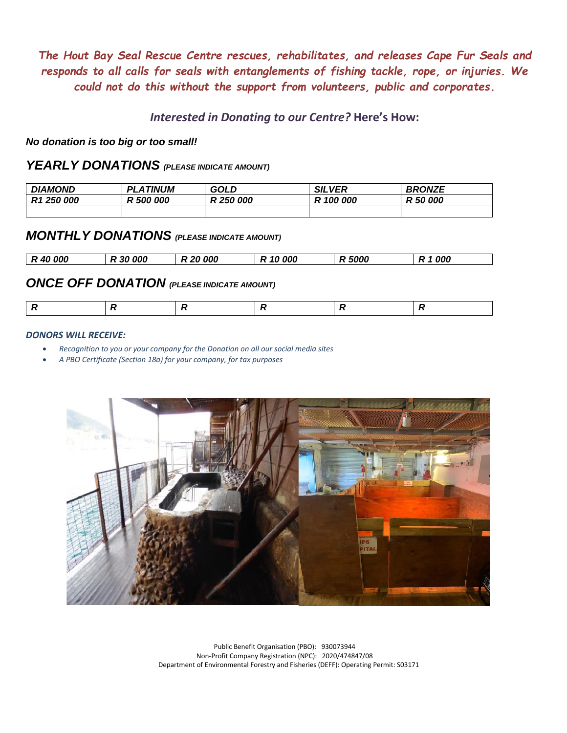*The Hout Bay Seal Rescue Centre rescues, rehabilitates, and releases Cape Fur Seals and responds to all calls for seals with entanglements of fishing tackle, rope, or injuries. We could not do this without the support from volunteers, public and corporates.*

*Interested in Donating to our Centre?* **Here's How:**

*No donation is too big or too small!*

## *YEARLY DONATIONS (PLEASE INDICATE AMOUNT)*

| <b>DIAMOND</b>         | <i><b>_ATINUM</b></i><br>ΡI | <b>GOLD</b> | <b>SILVER</b> | <b>BRONZE</b> |
|------------------------|-----------------------------|-------------|---------------|---------------|
| R <sub>1</sub> 250 000 | 000<br>R 500                | R 250 000   | R 100 000     | R 50 000      |
|                        |                             |             |               |               |

## *MONTHLY DONATIONS (PLEASE INDICATE AMOUNT)*

|  | R 40 000 | R 30 000 | R 20 000 | R 10 000 | .5000 | 000<br>. R * |
|--|----------|----------|----------|----------|-------|--------------|
|--|----------|----------|----------|----------|-------|--------------|

## *ONCE OFF DONATION (PLEASE INDICATE AMOUNT)*

|--|--|

#### *DONORS WILL RECEIVE:*

- *Recognition to you or your company for the Donation on all our social media sites*
- *A PBO Certificate (Section 18a) for your company, for tax purposes*